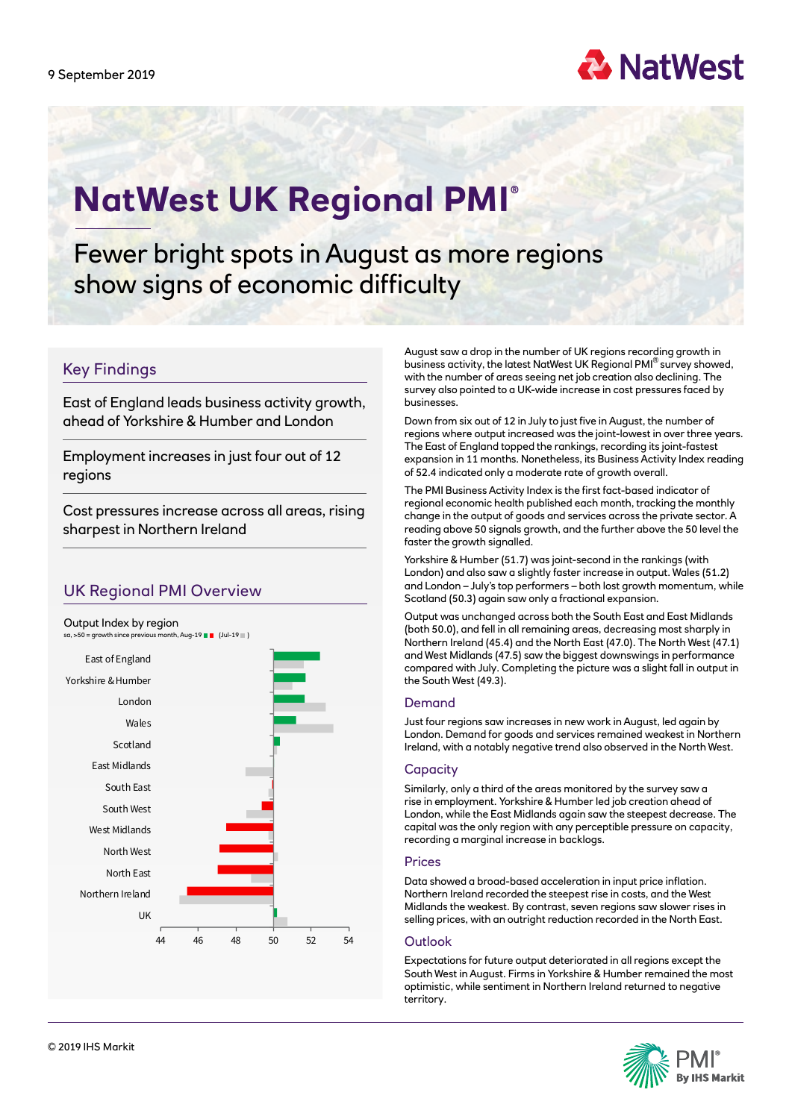

# **NatWest UK Regional PMI ®**

Fewer bright spots in August as more regions show signs of economic difficulty

# Key Findings

East of England leads business activity growth, ahead of Yorkshire & Humber and London

Employment increases in just four out of 12 regions

Cost pressures increase across all areas, rising sharpest in Northern Ireland

# UK Regional PMI Overview



August saw a drop in the number of UK regions recording growth in business activity, the latest NatWest UK Regional PMI® survey showed, with the number of areas seeing net job creation also declining. The survey also pointed to a UK-wide increase in cost pressures faced by businesses.

Down from six out of 12 in July to just five in August, the number of regions where output increased was the joint-lowest in over three years. The East of England topped the rankings, recording its joint-fastest expansion in 11 months. Nonetheless, its Business Activity Index reading of 52.4 indicated only a moderate rate of growth overall.

The PMI Business Activity Index is the first fact-based indicator of regional economic health published each month, tracking the monthly change in the output of goods and services across the private sector. A reading above 50 signals growth, and the further above the 50 level the faster the growth signalled.

Yorkshire & Humber (51.7) was joint-second in the rankings (with London) and also saw a slightly faster increase in output. Wales (51.2) and London – July's top performers – both lost growth momentum, while Scotland (50.3) again saw only a fractional expansion.

Output was unchanged across both the South East and East Midlands (both 50.0), and fell in all remaining areas, decreasing most sharply in Northern Ireland (45.4) and the North East (47.0). The North West (47.1) and West Midlands (47.5) saw the biggest downswings in performance compared with July. Completing the picture was a slight fall in output in the South West (49.3).

### Demand

Just four regions saw increases in new work in August, led again by London. Demand for goods and services remained weakest in Northern Ireland, with a notably negative trend also observed in the North West.

### **Capacity**

Similarly, only a third of the areas monitored by the survey saw a rise in employment. Yorkshire & Humber led job creation ahead of London, while the East Midlands again saw the steepest decrease. The capital was the only region with any perceptible pressure on capacity, recording a marginal increase in backlogs.

### Prices

Data showed a broad-based acceleration in input price inflation. Northern Ireland recorded the steepest rise in costs, and the West Midlands the weakest. By contrast, seven regions saw slower rises in selling prices, with an outright reduction recorded in the North East.

### **Outlook**

Expectations for future output deteriorated in all regions except the South West in August. Firms in Yorkshire & Humber remained the most optimistic, while sentiment in Northern Ireland returned to negative territory.

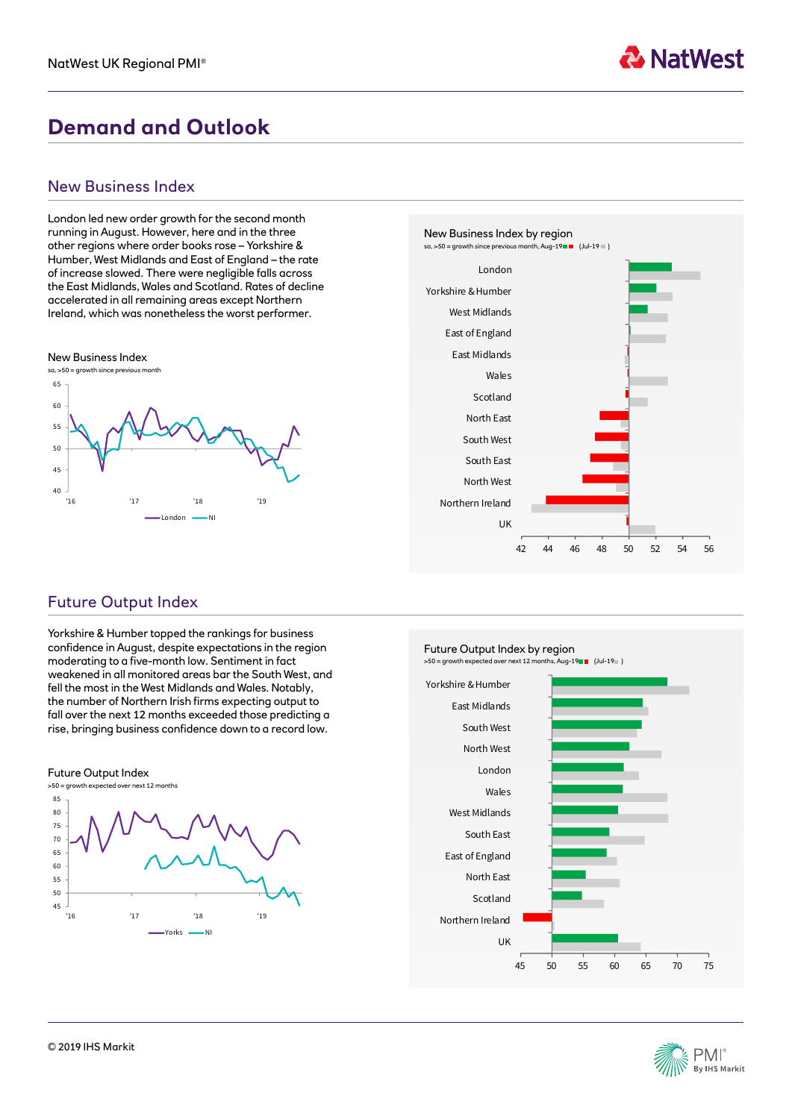

# **Demand and Outlook**

## New Business Index

London led new order growth for the second month running in August. However, here and in the three other regions where order books rose – Yorkshire & Humber, West Midlands and East of England – the rate of increase slowed. There were negligible falls across the East Midlands, Wales and Scotland. Rates of decline accelerated in all remaining areas except Northern Ireland, which was nonetheless the worst performer.





# Future Output Index

Yorkshire & Humber topped the rankings for business confidence in August, despite expectations in the region moderating to a five-month low. Sentiment in fact weakened in all monitored areas bar the South West, and fell the most in the West Midlands and Wales. Notably, the number of Northern Irish firms expecting output to fall over the next 12 months exceeded those predicting a rise, bringing business confidence down to a record low.





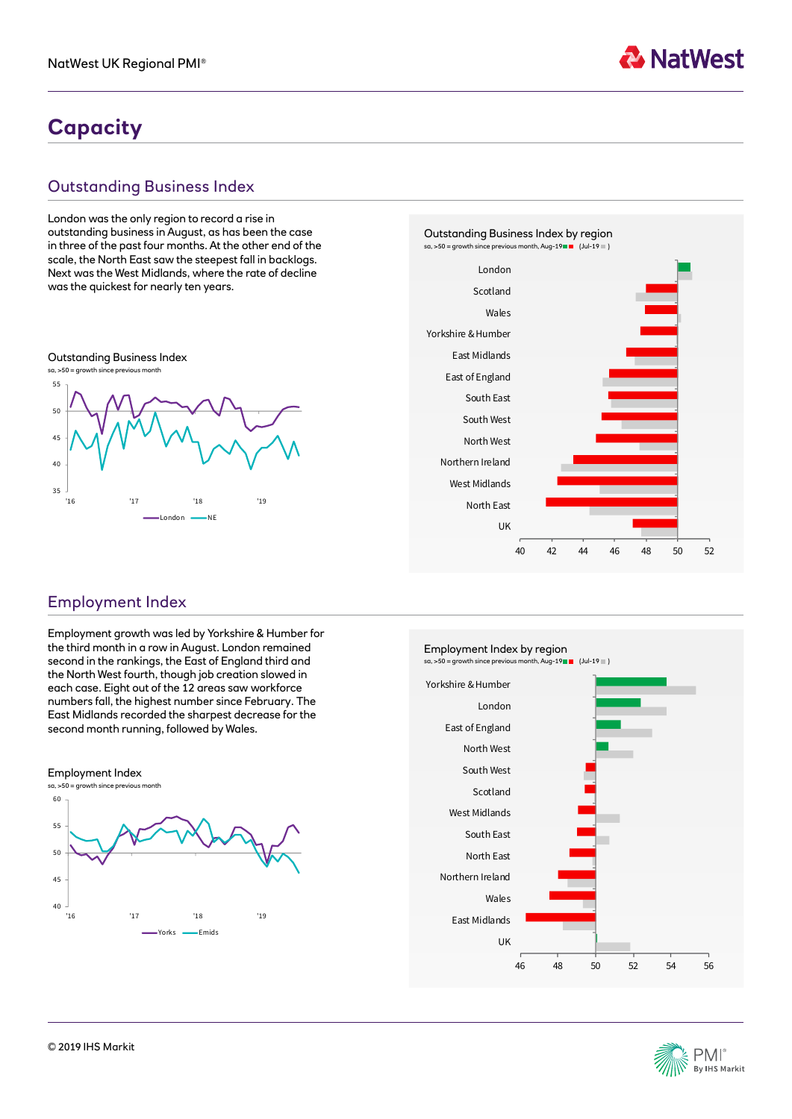

# **Capacity**

# Outstanding Business Index

London was the only region to record a rise in outstanding business in August, as has been the case in three of the past four months. At the other end of the scale, the North East saw the steepest fall in backlogs. Next was the West Midlands, where the rate of decline was the quickest for nearly ten years.





# Employment Index

Employment growth was led by Yorkshire & Humber for the third month in a row in August. London remained second in the rankings, the East of England third and the North West fourth, though job creation slowed in each case. Eight out of the 12 areas saw workforce numbers fall, the highest number since February. The East Midlands recorded the sharpest decrease for the second month running, followed by Wales.





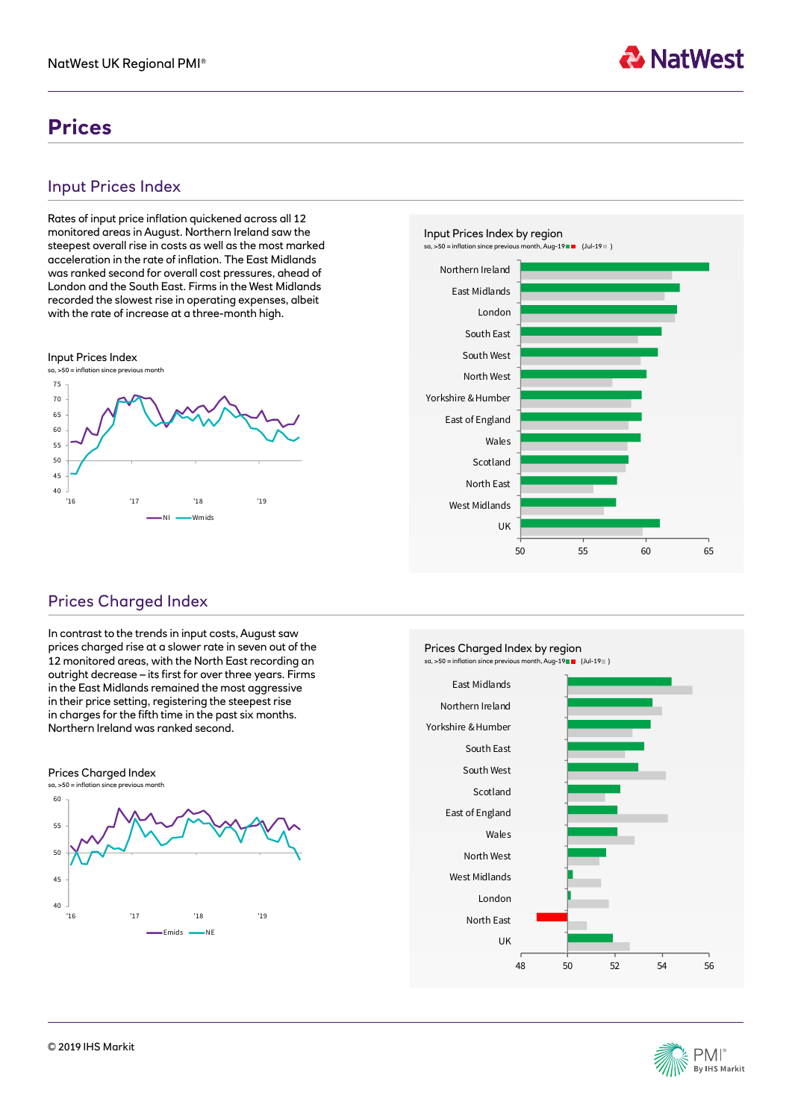# **Prices**

# Input Prices Index

Rates of input price inflation quickened across all 12 monitored areas in August. Northern Ireland saw the steepest overall rise in costs as well as the most marked acceleration in the rate of inflation. The East Midlands was ranked second for overall cost pressures, ahead of London and the South East. Firms in the West Midlands recorded the slowest rise in operating expenses, albeit with the rate of increase at a three-month high.





**A** NatWest

# Prices Charged Index

In contrast to the trends in input costs, August saw prices charged rise at a slower rate in seven out of the 12 monitored areas, with the North East recording an outright decrease – its first for over three years. Firms in the East Midlands remained the most aggressive in their price setting, registering the steepest rise in charges for the fifth time in the past six months. Northern Ireland was ranked second.